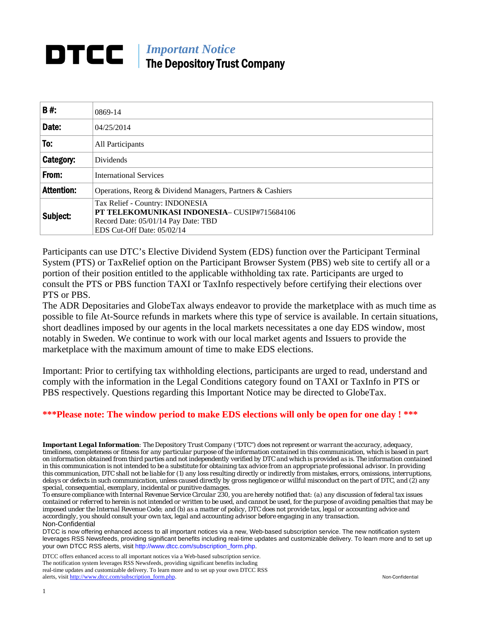### *Important Notice*  DTCC I The Depository Trust Company

| <b>B#:</b>        |                                                            |  |  |  |  |
|-------------------|------------------------------------------------------------|--|--|--|--|
|                   | 0869-14                                                    |  |  |  |  |
| Date:             | 04/25/2014                                                 |  |  |  |  |
| To:               | All Participants                                           |  |  |  |  |
| Category:         | <b>Dividends</b>                                           |  |  |  |  |
| From:             | <b>International Services</b>                              |  |  |  |  |
| <b>Attention:</b> | Operations, Reorg & Dividend Managers, Partners & Cashiers |  |  |  |  |
|                   | Tax Relief - Country: INDONESIA                            |  |  |  |  |
| Subject:          | PT TELEKOMUNIKASI INDONESIA-CUSIP#715684106                |  |  |  |  |
|                   | Record Date: 05/01/14 Pay Date: TBD                        |  |  |  |  |
|                   | EDS Cut-Off Date: 05/02/14                                 |  |  |  |  |

Participants can use DTC's Elective Dividend System (EDS) function over the Participant Terminal System (PTS) or TaxRelief option on the Participant Browser System (PBS) web site to certify all or a portion of their position entitled to the applicable withholding tax rate. Participants are urged to consult the PTS or PBS function TAXI or TaxInfo respectively before certifying their elections over PTS or PBS.

The ADR Depositaries and GlobeTax always endeavor to provide the marketplace with as much time as possible to file At-Source refunds in markets where this type of service is available. In certain situations, short deadlines imposed by our agents in the local markets necessitates a one day EDS window, most notably in Sweden. We continue to work with our local market agents and Issuers to provide the marketplace with the maximum amount of time to make EDS elections.

Important: Prior to certifying tax withholding elections, participants are urged to read, understand and comply with the information in the Legal Conditions category found on TAXI or TaxInfo in PTS or PBS respectively. Questions regarding this Important Notice may be directed to GlobeTax.

### **\*\*\*Please note: The window period to make EDS elections will only be open for one day ! \*\*\***

*Important Legal Information: The Depository Trust Company ("DTC") does not represent or warrant the accuracy, adequacy, timeliness, completeness or fitness for any particular purpose of the information contained in this communication, which is based in part on information obtained from third parties and not independently verified by DTC and which is provided as is. The information contained in this communication is not intended to be a substitute for obtaining tax advice from an appropriate professional advisor. In providing this communication, DTC shall not be liable for (1) any loss resulting directly or indirectly from mistakes, errors, omissions, interruptions, delays or defects in such communication, unless caused directly by gross negligence or willful misconduct on the part of DTC, and (2) any special, consequential, exemplary, incidental or punitive damages.* 

*To ensure compliance with Internal Revenue Service Circular 230, you are hereby notified that: (a) any discussion of federal tax issues contained or referred to herein is not intended or written to be used, and cannot be used, for the purpose of avoiding penalties that may be imposed under the Internal Revenue Code; and (b) as a matter of policy, DTC does not provide tax, legal or accounting advice and accordingly, you should consult your own tax, legal and accounting advisor before engaging in any transaction.* Non-Confidential

DTCC is now offering enhanced access to all important notices via a new, Web-based subscription service. The new notification system leverages RSS Newsfeeds, providing significant benefits including real-time updates and customizable delivery. To learn more and to set up your own DTCC RSS alerts, visit http://www.dtcc.com/subscription\_form.php.

DTCC offers enhanced access to all important notices via a Web-based subscription service. The notification system leverages RSS Newsfeeds, providing significant benefits including real-time updates and customizable delivery. To learn more and to set up your own DTCC RSS alerts, visit http://www.dtcc.com/subscription\_form.php. Non-Confidential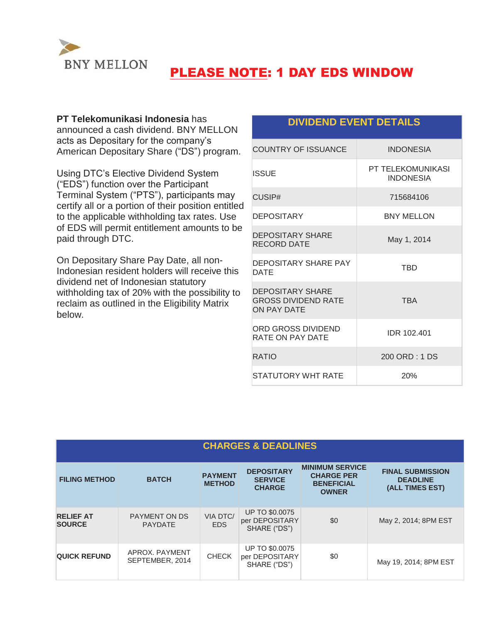

# PLEASE NOTE: 1 DAY EDS WINDOW

### **PT Telekomunikasi Indonesia** has

announced a cash dividend. BNY MELLON acts as Depositary for the company's American Depositary Share ("DS") program.

Using DTC's Elective Dividend System ("EDS") function over the Participant Terminal System ("PTS"), participants may certify all or a portion of their position entitled to the applicable withholding tax rates. Use of EDS will permit entitlement amounts to be paid through DTC.

On Depositary Share Pay Date, all non-Indonesian resident holders will receive this dividend net of Indonesian statutory withholding tax of 20% with the possibility to reclaim as outlined in the Eligibility Matrix below.

## **DIVIDEND EVENT DETAILS**

| <b>COUNTRY OF ISSUANCE</b>                                                  | <b>INDONESIA</b>                             |
|-----------------------------------------------------------------------------|----------------------------------------------|
| <b>ISSUE</b>                                                                | <b>PT TELEKOMUNIKASI</b><br><b>INDONESIA</b> |
| CUSIP#                                                                      | 715684106                                    |
| <b>DEPOSITARY</b>                                                           | <b>BNY MELLON</b>                            |
| <b>DEPOSITARY SHARE</b><br><b>RECORD DATE</b>                               | May 1, 2014                                  |
| <b>DEPOSITARY SHARE PAY</b><br><b>DATE</b>                                  | <b>TRD</b>                                   |
| <b>DEPOSITARY SHARE</b><br><b>GROSS DIVIDEND RATE</b><br><b>ON PAY DATE</b> | <b>TBA</b>                                   |
| ORD GROSS DIVIDEND<br>RATE ON PAY DATE                                      | IDR 102.401                                  |
| <b>RATIO</b>                                                                | 200 ORD: 1 DS                                |
| STATUTORY WHT RATE                                                          | 20%                                          |

## **CHARGES & DEADLINES**

| <b>FILING METHOD</b>              | <b>BATCH</b>                           | <b>PAYMENT</b><br><b>METHOD</b> | <b>DEPOSITARY</b><br><b>SERVICE</b><br><b>CHARGE</b>    | <b>MINIMUM SERVICE</b><br><b>CHARGE PER</b><br><b>BENEFICIAL</b><br><b>OWNER</b> | <b>FINAL SUBMISSION</b><br><b>DEADLINE</b><br>(ALL TIMES EST) |
|-----------------------------------|----------------------------------------|---------------------------------|---------------------------------------------------------|----------------------------------------------------------------------------------|---------------------------------------------------------------|
| <b>RELIEF AT</b><br><b>SOURCE</b> | <b>PAYMENT ON DS</b><br><b>PAYDATE</b> | VIA DTC/<br><b>EDS</b>          | <b>UP TO \$0.0075</b><br>per DEPOSITARY<br>SHARE ("DS") | \$0                                                                              | May 2, 2014; 8PM EST                                          |
| <b>QUICK REFUND</b>               | APROX, PAYMENT<br>SEPTEMBER, 2014      | <b>CHECK</b>                    | <b>UP TO \$0.0075</b><br>per DEPOSITARY<br>SHARE ("DS") | \$0                                                                              | May 19, 2014; 8PM EST                                         |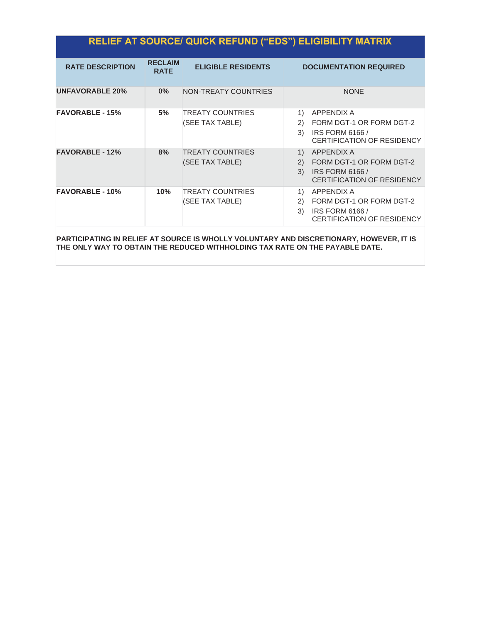| <b>RELIEF AT SOURCE/ QUICK REFUND ("EDS") ELIGIBILITY MATRIX</b> |
|------------------------------------------------------------------|
|------------------------------------------------------------------|

| <b>RATE DESCRIPTION</b> | <b>RECLAIM</b><br><b>RATE</b> | <b>ELIGIBLE RESIDENTS</b>                  | <b>DOCUMENTATION REQUIRED</b>                                                                                                                                        |
|-------------------------|-------------------------------|--------------------------------------------|----------------------------------------------------------------------------------------------------------------------------------------------------------------------|
| <b>UNFAVORABLE 20%</b>  | $0\%$                         | NON-TREATY COUNTRIES                       | <b>NONE</b>                                                                                                                                                          |
| <b>FAVORABLE - 15%</b>  | 5%                            | TREATY COUNTRIES<br>(SEE TAX TABLE)        | APPENDIX A<br>1)<br>FORM DGT-1 OR FORM DGT-2<br>(2)<br><b>IRS FORM 6166 /</b><br>3)<br>CERTIFICATION OF RESIDENCY                                                    |
| <b>FAVORABLE - 12%</b>  | 8%                            | <b>TREATY COUNTRIES</b><br>(SEE TAX TABLE) | APPENDIX A<br>$\left( \begin{matrix} 1 \end{matrix} \right)$<br>FORM DGT-1 OR FORM DGT-2<br>(2)<br>3)<br><b>IRS FORM 6166 /</b><br><b>CERTIFICATION OF RESIDENCY</b> |
| <b>FAVORABLE - 10%</b>  | 10%                           | <b>TREATY COUNTRIES</b><br>(SEE TAX TABLE) | 1)<br>APPENDIX A<br>FORM DGT-1 OR FORM DGT-2<br>2)<br>3)<br><b>IRS FORM 6166 /</b><br>CERTIFICATION OF RESIDENCY                                                     |

**PARTICIPATING IN RELIEF AT SOURCE IS WHOLLY VOLUNTARY AND DISCRETIONARY, HOWEVER, IT IS THE ONLY WAY TO OBTAIN THE REDUCED WITHHOLDING TAX RATE ON THE PAYABLE DATE.**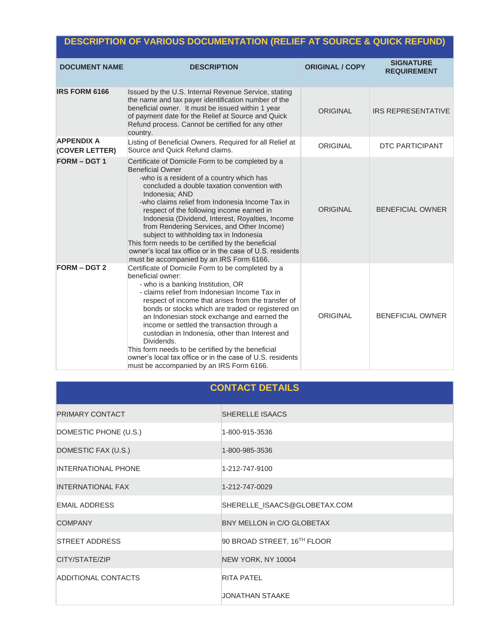# **DESCRIPTION OF VARIOUS DOCUMENTATION (RELIEF AT SOURCE & QUICK REFUND)**

| <b>DOCUMENT NAME</b>                | <b>DESCRIPTION</b>                                                                                                                                                                                                                                                                                                                                                                                                                                                                                                                                                                                    | <b>ORIGINAL / COPY</b> | <b>SIGNATURE</b><br><b>REQUIREMENT</b> |
|-------------------------------------|-------------------------------------------------------------------------------------------------------------------------------------------------------------------------------------------------------------------------------------------------------------------------------------------------------------------------------------------------------------------------------------------------------------------------------------------------------------------------------------------------------------------------------------------------------------------------------------------------------|------------------------|----------------------------------------|
| <b>IRS FORM 6166</b>                | Issued by the U.S. Internal Revenue Service, stating<br>the name and tax payer identification number of the<br>beneficial owner. It must be issued within 1 year<br>of payment date for the Relief at Source and Quick<br>Refund process. Cannot be certified for any other<br>country.                                                                                                                                                                                                                                                                                                               | <b>ORIGINAL</b>        | <b>IRS REPRESENTATIVE</b>              |
| <b>APPENDIX A</b><br>(COVER LETTER) | Listing of Beneficial Owners. Required for all Relief at<br>Source and Quick Refund claims.                                                                                                                                                                                                                                                                                                                                                                                                                                                                                                           | <b>ORIGINAL</b>        | <b>DTC PARTICIPANT</b>                 |
| <b>FORM - DGT 1</b>                 | Certificate of Domicile Form to be completed by a<br><b>Beneficial Owner</b><br>-who is a resident of a country which has<br>concluded a double taxation convention with<br>Indonesia; AND<br>-who claims relief from Indonesia Income Tax in<br>respect of the following income earned in<br>Indonesia (Dividend, Interest, Royalties, Income<br>from Rendering Services, and Other Income)<br>subject to withholding tax in Indonesia<br>This form needs to be certified by the beneficial<br>owner's local tax office or in the case of U.S. residents<br>must be accompanied by an IRS Form 6166. | <b>ORIGINAL</b>        | <b>BENEFICIAL OWNER</b>                |
| <b>FORM - DGT 2</b>                 | Certificate of Domicile Form to be completed by a<br>beneficial owner:<br>- who is a banking Institution, OR<br>- claims relief from Indonesian Income Tax in<br>respect of income that arises from the transfer of<br>bonds or stocks which are traded or registered on<br>an Indonesian stock exchange and earned the<br>income or settled the transaction through a<br>custodian in Indonesia, other than Interest and<br>Dividends.<br>This form needs to be certified by the beneficial<br>owner's local tax office or in the case of U.S. residents<br>must be accompanied by an IRS Form 6166. | <b>ORIGINAL</b>        | <b>BENEFICIAL OWNER</b>                |

# **CONTACT DETAILS**

| PRIMARY CONTACT            | <b>SHERELLE ISAACS</b>                  |
|----------------------------|-----------------------------------------|
| DOMESTIC PHONE (U.S.)      | 1-800-915-3536                          |
| DOMESTIC FAX (U.S.)        | 1-800-985-3536                          |
| <b>INTERNATIONAL PHONE</b> | 1-212-747-9100                          |
| <b>INTERNATIONAL FAX</b>   | 1-212-747-0029                          |
| <b>EMAIL ADDRESS</b>       | SHERELLE_ISAACS@GLOBETAX.COM            |
| <b>COMPANY</b>             | BNY MELLON in C/O GLOBETAX              |
| <b>STREET ADDRESS</b>      | 90 BROAD STREET, 16 <sup>TH</sup> FLOOR |
| CITY/STATE/ZIP             | NEW YORK, NY 10004                      |
| ADDITIONAL CONTACTS        | <b>RITA PATEL</b>                       |
|                            | JONATHAN STAAKE                         |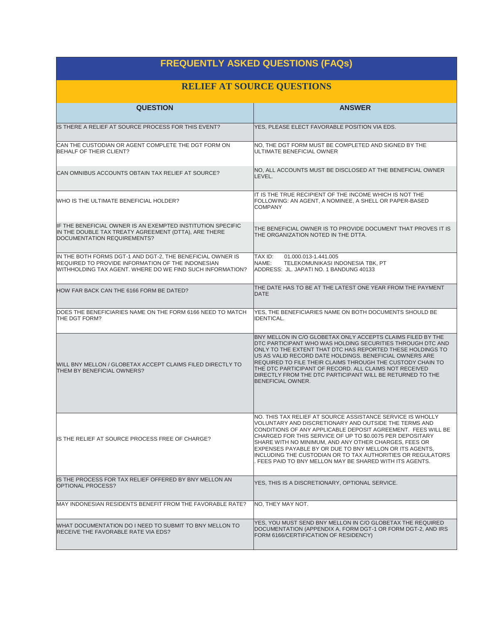| <b>FREQUENTLY ASKED QUESTIONS (FAQs)</b>                                                                                                                                      |                                                                                                                                                                                                                                                                                                                                                                                                                                                                                                 |  |  |  |  |  |
|-------------------------------------------------------------------------------------------------------------------------------------------------------------------------------|-------------------------------------------------------------------------------------------------------------------------------------------------------------------------------------------------------------------------------------------------------------------------------------------------------------------------------------------------------------------------------------------------------------------------------------------------------------------------------------------------|--|--|--|--|--|
| <b>RELIEF AT SOURCE QUESTIONS</b>                                                                                                                                             |                                                                                                                                                                                                                                                                                                                                                                                                                                                                                                 |  |  |  |  |  |
| <b>QUESTION</b>                                                                                                                                                               | <b>ANSWER</b>                                                                                                                                                                                                                                                                                                                                                                                                                                                                                   |  |  |  |  |  |
| IS THERE A RELIEF AT SOURCE PROCESS FOR THIS EVENT?                                                                                                                           | YES, PLEASE ELECT FAVORABLE POSITION VIA EDS.                                                                                                                                                                                                                                                                                                                                                                                                                                                   |  |  |  |  |  |
| CAN THE CUSTODIAN OR AGENT COMPLETE THE DGT FORM ON<br>BEHALF OF THEIR CLIENT?                                                                                                | NO, THE DGT FORM MUST BE COMPLETED AND SIGNED BY THE<br>ULTIMATE BENEFICIAL OWNER                                                                                                                                                                                                                                                                                                                                                                                                               |  |  |  |  |  |
| CAN OMNIBUS ACCOUNTS OBTAIN TAX RELIEF AT SOURCE?                                                                                                                             | NO, ALL ACCOUNTS MUST BE DISCLOSED AT THE BENEFICIAL OWNER<br>LEVEL.                                                                                                                                                                                                                                                                                                                                                                                                                            |  |  |  |  |  |
| WHO IS THE ULTIMATE BENEFICIAL HOLDER?                                                                                                                                        | IIT IS THE TRUE RECIPIENT OF THE INCOME WHICH IS NOT THE<br>FOLLOWING: AN AGENT, A NOMINEE, A SHELL OR PAPER-BASED<br><b>COMPANY</b>                                                                                                                                                                                                                                                                                                                                                            |  |  |  |  |  |
| IF THE BENEFICIAL OWNER IS AN EXEMPTED INSTITUTION SPECIFIC<br>IN THE DOUBLE TAX TREATY AGREEMENT (DTTA), ARE THERE<br>DOCUMENTATION REQUIREMENTS?                            | THE BENEFICIAL OWNER IS TO PROVIDE DOCUMENT THAT PROVES IT IS<br>ITHE ORGANIZATION NOTED IN THE DTTA.                                                                                                                                                                                                                                                                                                                                                                                           |  |  |  |  |  |
| IIN THE BOTH FORMS DGT-1 AND DGT-2. THE BENEFICIAL OWNER IS<br>REQUIRED TO PROVIDE INFORMATION OF THE INDONESIAN<br>WITHHOLDING TAX AGENT. WHERE DO WE FIND SUCH INFORMATION? | TAX ID:<br>01.000.013-1.441.005<br>TELEKOMUNIKASI INDONESIA TBK, PT<br>NAME:<br>ADDRESS: JL. JAPATI NO. 1 BANDUNG 40133                                                                                                                                                                                                                                                                                                                                                                         |  |  |  |  |  |
| HOW FAR BACK CAN THE 6166 FORM BE DATED?                                                                                                                                      | THE DATE HAS TO BE AT THE LATEST ONE YEAR FROM THE PAYMENT<br><b>DATE</b>                                                                                                                                                                                                                                                                                                                                                                                                                       |  |  |  |  |  |
| DOES THE BENEFICIARIES NAME ON THE FORM 6166 NEED TO MATCH<br>THE DGT FORM?                                                                                                   | YES, THE BENEFICIARIES NAME ON BOTH DOCUMENTS SHOULD BE<br><b>IDENTICAL.</b>                                                                                                                                                                                                                                                                                                                                                                                                                    |  |  |  |  |  |
| WILL BNY MELLON / GLOBETAX ACCEPT CLAIMS FILED DIRECTLY TO<br>THEM BY BENEFICIAL OWNERS?                                                                                      | BNY MELLON IN C/O GLOBETAX ONLY ACCEPTS CLAIMS FILED BY THE<br>DTC PARTICIPANT WHO WAS HOLDING SECURITIES THROUGH DTC AND<br>ONLY TO THE EXTENT THAT DTC HAS REPORTED THESE HOLDINGS TO<br>US AS VALID RECORD DATE HOLDINGS. BENEFICIAL OWNERS ARE<br><b>REQUIRED TO FILE THEIR CLAIMS THROUGH THE CUSTODY CHAIN TO</b><br>THE DTC PARTICIPANT OF RECORD. ALL CLAIMS NOT RECEIVED<br>DIRECTLY FROM THE DTC PARTICIPANT WILL BE RETURNED TO THE<br>BENEFICIAL OWNER.                             |  |  |  |  |  |
| IS THE RELIEF AT SOURCE PROCESS FREE OF CHARGE?                                                                                                                               | NO. THIS TAX RELIEF AT SOURCE ASSISTANCE SERVICE IS WHOLLY<br>VOLUNTARY AND DISCRETIONARY AND OUTSIDE THE TERMS AND<br>CONDITIONS OF ANY APPLICABLE DEPOSIT AGREEMENT. FEES WILL BE<br>CHARGED FOR THIS SERVICE OF UP TO \$0.0075 PER DEPOSITARY<br>SHARE WITH NO MINIMUM, AND ANY OTHER CHARGES, FEES OR<br>EXPENSES PAYABLE BY OR DUE TO BNY MELLON OR ITS AGENTS.<br>INCLUDING THE CUSTODIAN OR TO TAX AUTHORITIES OR REGULATORS<br>. FEES PAID TO BNY MELLON MAY BE SHARED WITH ITS AGENTS. |  |  |  |  |  |
| IS THE PROCESS FOR TAX RELIEF OFFERED BY BNY MELLON AN<br><b>OPTIONAL PROCESS?</b>                                                                                            | YES, THIS IS A DISCRETIONARY, OPTIONAL SERVICE.                                                                                                                                                                                                                                                                                                                                                                                                                                                 |  |  |  |  |  |
| MAY INDONESIAN RESIDENTS BENEFIT FROM THE FAVORABLE RATE?                                                                                                                     | NO, THEY MAY NOT.                                                                                                                                                                                                                                                                                                                                                                                                                                                                               |  |  |  |  |  |
| WHAT DOCUMENTATION DO I NEED TO SUBMIT TO BNY MELLON TO<br>RECEIVE THE FAVORABLE RATE VIA EDS?                                                                                | YES, YOU MUST SEND BNY MELLON IN C/O GLOBETAX THE REQUIRED<br>DOCUMENTATION (APPENDIX A, FORM DGT-1 OR FORM DGT-2, AND IRS<br>FORM 6166/CERTIFICATION OF RESIDENCY)                                                                                                                                                                                                                                                                                                                             |  |  |  |  |  |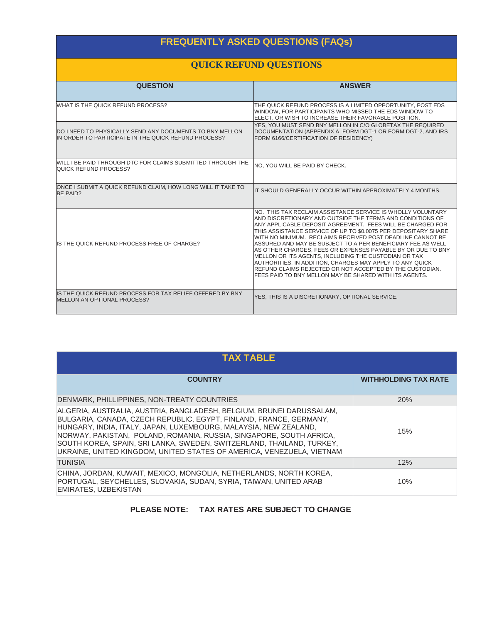# **FREQUENTLY ASKED QUESTIONS (FAQs)**

## **QUICK REFUND QUESTIONS**

| <b>QUESTION</b>                                                                                                          | <b>ANSWER</b>                                                                                                                                                                                                                                                                                                                                                                                                                                                                                                                                                                                                                                                                                          |
|--------------------------------------------------------------------------------------------------------------------------|--------------------------------------------------------------------------------------------------------------------------------------------------------------------------------------------------------------------------------------------------------------------------------------------------------------------------------------------------------------------------------------------------------------------------------------------------------------------------------------------------------------------------------------------------------------------------------------------------------------------------------------------------------------------------------------------------------|
| WHAT IS THE QUICK REFUND PROCESS?                                                                                        | THE QUICK REFUND PROCESS IS A LIMITED OPPORTUNITY, POST EDS<br>WINDOW, FOR PARTICIPANTS WHO MISSED THE EDS WINDOW TO<br>ELECT. OR WISH TO INCREASE THEIR FAVORABLE POSITION.                                                                                                                                                                                                                                                                                                                                                                                                                                                                                                                           |
| <b>IDO I NEED TO PHYSICALLY SEND ANY DOCUMENTS TO BNY MELLON</b><br>IN ORDER TO PARTICIPATE IN THE QUICK REFUND PROCESS? | YES, YOU MUST SEND BNY MELLON IN C/O GLOBETAX THE REQUIRED<br>DOCUMENTATION (APPENDIX A, FORM DGT-1 OR FORM DGT-2, AND IRS<br>FORM 6166/CERTIFICATION OF RESIDENCY)                                                                                                                                                                                                                                                                                                                                                                                                                                                                                                                                    |
| WILL I BE PAID THROUGH DTC FOR CLAIMS SUBMITTED THROUGH THE<br><b>QUICK REFUND PROCESS?</b>                              | NO, YOU WILL BE PAID BY CHECK.                                                                                                                                                                                                                                                                                                                                                                                                                                                                                                                                                                                                                                                                         |
| ONCE I SUBMIT A QUICK REFUND CLAIM, HOW LONG WILL IT TAKE TO<br>BE PAID?                                                 | IIT SHOULD GENERALLY OCCUR WITHIN APPROXIMATELY 4 MONTHS.                                                                                                                                                                                                                                                                                                                                                                                                                                                                                                                                                                                                                                              |
| IS THE QUICK REFUND PROCESS FREE OF CHARGE?                                                                              | INO. THIS TAX RECLAIM ASSISTANCE SERVICE IS WHOLLY VOLUNTARY<br>AND DISCRETIONARY AND OUTSIDE THE TERMS AND CONDITIONS OF<br>ANY APPLICABLE DEPOSIT AGREEMENT. FEES WILL BE CHARGED FOR<br>THIS ASSISTANCE SERVICE OF UP TO \$0.0075 PER DEPOSITARY SHARE<br>WITH NO MINIMUM. RECLAIMS RECEIVED POST DEADLINE CANNOT BE<br>ASSURED AND MAY BE SUBJECT TO A PER BENEFICIARY FEE AS WELL<br>AS OTHER CHARGES, FEES OR EXPENSES PAYABLE BY OR DUE TO BNY<br>MELLON OR ITS AGENTS, INCLUDING THE CUSTODIAN OR TAX<br>AUTHORITIES. IN ADDITION, CHARGES MAY APPLY TO ANY QUICK<br><b>REFUND CLAIMS REJECTED OR NOT ACCEPTED BY THE CUSTODIAN.</b><br>FEES PAID TO BNY MELLON MAY BE SHARED WITH ITS AGENTS. |
| IS THE QUICK REFUND PROCESS FOR TAX RELIEF OFFERED BY BNY<br>MELLON AN OPTIONAL PROCESS?                                 | YES, THIS IS A DISCRETIONARY, OPTIONAL SERVICE.                                                                                                                                                                                                                                                                                                                                                                                                                                                                                                                                                                                                                                                        |

| <b>TAX TABLE</b>                                                                                                                                                                                                                                                                                                                                                                                                                         |                             |  |  |  |  |
|------------------------------------------------------------------------------------------------------------------------------------------------------------------------------------------------------------------------------------------------------------------------------------------------------------------------------------------------------------------------------------------------------------------------------------------|-----------------------------|--|--|--|--|
| <b>COUNTRY</b>                                                                                                                                                                                                                                                                                                                                                                                                                           | <b>WITHHOLDING TAX RATE</b> |  |  |  |  |
| DENMARK, PHILLIPPINES, NON-TREATY COUNTRIES                                                                                                                                                                                                                                                                                                                                                                                              | 20%                         |  |  |  |  |
| ALGERIA, AUSTRALIA, AUSTRIA, BANGLADESH, BELGIUM, BRUNEI DARUSSALAM,<br>BULGARIA, CANADA, CZECH REPUBLIC, EGYPT, FINLAND, FRANCE, GERMANY,<br>HUNGARY, INDIA, ITALY, JAPAN, LUXEMBOURG, MALAYSIA, NEW ZEALAND,<br>INORWAY, PAKISTAN, POLAND, ROMANIA, RUSSIA, SINGAPORE, SOUTH AFRICA,<br>SOUTH KOREA, SPAIN, SRI LANKA, SWEDEN, SWITZERLAND, THAILAND, TURKEY,<br>UKRAINE, UNITED KINGDOM, UNITED STATES OF AMERICA, VENEZUELA, VIETNAM | 15%                         |  |  |  |  |
| <b>TUNISIA</b>                                                                                                                                                                                                                                                                                                                                                                                                                           | 12%                         |  |  |  |  |
| CHINA, JORDAN, KUWAIT, MEXICO, MONGOLIA, NETHERLANDS, NORTH KOREA,<br>PORTUGAL, SEYCHELLES, SLOVAKIA, SUDAN, SYRIA, TAIWAN, UNITED ARAB<br>EMIRATES, UZBEKISTAN                                                                                                                                                                                                                                                                          | 10%                         |  |  |  |  |

### **PLEASE NOTE: TAX RATES ARE SUBJECT TO CHANGE**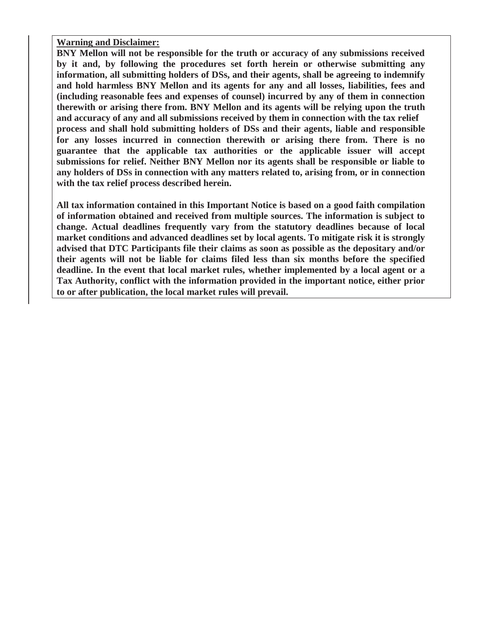**Warning and Disclaimer:** 

**BNY Mellon will not be responsible for the truth or accuracy of any submissions received by it and, by following the procedures set forth herein or otherwise submitting any information, all submitting holders of DSs, and their agents, shall be agreeing to indemnify and hold harmless BNY Mellon and its agents for any and all losses, liabilities, fees and (including reasonable fees and expenses of counsel) incurred by any of them in connection therewith or arising there from. BNY Mellon and its agents will be relying upon the truth and accuracy of any and all submissions received by them in connection with the tax relief process and shall hold submitting holders of DSs and their agents, liable and responsible for any losses incurred in connection therewith or arising there from. There is no guarantee that the applicable tax authorities or the applicable issuer will accept submissions for relief. Neither BNY Mellon nor its agents shall be responsible or liable to any holders of DSs in connection with any matters related to, arising from, or in connection with the tax relief process described herein.** 

**All tax information contained in this Important Notice is based on a good faith compilation of information obtained and received from multiple sources. The information is subject to change. Actual deadlines frequently vary from the statutory deadlines because of local market conditions and advanced deadlines set by local agents. To mitigate risk it is strongly advised that DTC Participants file their claims as soon as possible as the depositary and/or their agents will not be liable for claims filed less than six months before the specified deadline. In the event that local market rules, whether implemented by a local agent or a Tax Authority, conflict with the information provided in the important notice, either prior to or after publication, the local market rules will prevail.**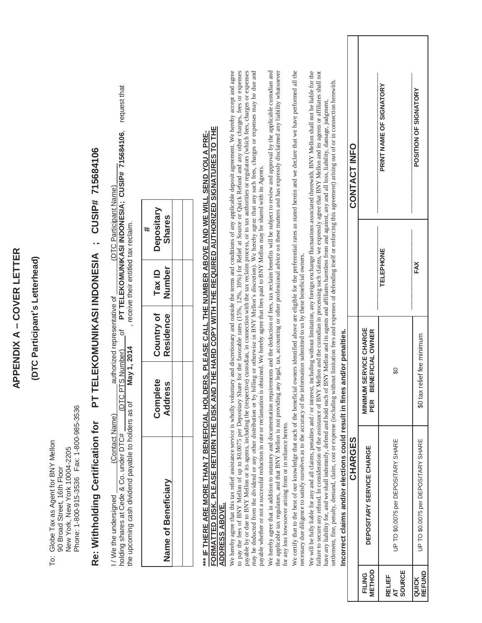|                                |                                                                                                          | CUSIP# 715684106                                                                                                                                                                                                                                                                                                                                                                                                                                                                                                                                                                                                                                                                                                                                                                                                                                                                                                                                                                                                                                                                                                                                                                                                                                                                                                                                      | request that<br>PT TELEKOMUNIKASI INDONESIA; CUSIP# 715684106, |                                       |                                     | to pay the fees of BNY Mellon of up to \$0.0075 per Depositary Share for the favorable rates (15%, 12%, 10%) for Relief at Source or Quick Refund and any other charges, fees or expenses<br>We hereby agree that this tax relief assistance service is wholly voluntary and discretionary and outside the terms and conditions of any applicable deposit agreement. We hereby accept and agree<br>payable by or due to BNY Mellon or its agents, including the (respective) custodian, in connection with the tax reclaim process, or to tax authorities or regulators (which fees, charges or expenses<br>may be deducted from the dividend or any other distribution or by billing or otherwise in BNY Mellon's discretion). We hereby agree that any such fees, charges or expenses may be due and | We hereby agree that in addition to statutory and documentation requirements and the deduction of fees, tax reclaim benefits will be subject to review and approval by the applicable custodian and<br>the applicable tax regulators, and that BNY Mellon is not providing any legal, tax, accounting or other professional advice on these matters and has expressly disclaimed any liability whatsoever | We certify that to the best of our knowledge that each of the beneficial owners identified above are eligible for the preferential rates as stated herein and we declare that we have performed all the | We will be fully liable for any and all claims, penalties and / or interest, including without limitation, any foreign exchange fluctuations associated therewith. BNY Mellon shall not be liable for the<br>failure to secure any refund. In consideration of the assistance of BNY Mellon and the custodian in processing such claims, we expressly agree that BNY Mellon and its agents or affiliates shall not |     | CONTACT INFO |                                      | PRINT NAME OF SIGNATORY | POSITION OF SIGNATORY |
|--------------------------------|----------------------------------------------------------------------------------------------------------|-------------------------------------------------------------------------------------------------------------------------------------------------------------------------------------------------------------------------------------------------------------------------------------------------------------------------------------------------------------------------------------------------------------------------------------------------------------------------------------------------------------------------------------------------------------------------------------------------------------------------------------------------------------------------------------------------------------------------------------------------------------------------------------------------------------------------------------------------------------------------------------------------------------------------------------------------------------------------------------------------------------------------------------------------------------------------------------------------------------------------------------------------------------------------------------------------------------------------------------------------------------------------------------------------------------------------------------------------------|----------------------------------------------------------------|---------------------------------------|-------------------------------------|--------------------------------------------------------------------------------------------------------------------------------------------------------------------------------------------------------------------------------------------------------------------------------------------------------------------------------------------------------------------------------------------------------------------------------------------------------------------------------------------------------------------------------------------------------------------------------------------------------------------------------------------------------------------------------------------------------------------------------------------------------------------------------------------------------|-----------------------------------------------------------------------------------------------------------------------------------------------------------------------------------------------------------------------------------------------------------------------------------------------------------------------------------------------------------------------------------------------------------|---------------------------------------------------------------------------------------------------------------------------------------------------------------------------------------------------------|--------------------------------------------------------------------------------------------------------------------------------------------------------------------------------------------------------------------------------------------------------------------------------------------------------------------------------------------------------------------------------------------------------------------|-----|--------------|--------------------------------------|-------------------------|-----------------------|
|                                |                                                                                                          | TELEKOMUNIKASI INDONESIA;                                                                                                                                                                                                                                                                                                                                                                                                                                                                                                                                                                                                                                                                                                                                                                                                                                                                                                                                                                                                                                                                                                                                                                                                                                                                                                                             | (DTC Participant Name)                                         | , receive their entitled tax reclaim. | Depositary<br><b>Shares</b><br>#    |                                                                                                                                                                                                                                                                                                                                                                                                                                                                                                                                                                                                                                                                                                                                                                                                        |                                                                                                                                                                                                                                                                                                                                                                                                           |                                                                                                                                                                                                         | <b>TELEPHONE</b>                                                                                                                                                                                                                                                                                                                                                                                                   | FAX |              |                                      |                         |                       |
| (DTC Participant's Letterhead) |                                                                                                          |                                                                                                                                                                                                                                                                                                                                                                                                                                                                                                                                                                                                                                                                                                                                                                                                                                                                                                                                                                                                                                                                                                                                                                                                                                                                                                                                                       |                                                                | Number<br>Tax ID                      |                                     |                                                                                                                                                                                                                                                                                                                                                                                                                                                                                                                                                                                                                                                                                                                                                                                                        |                                                                                                                                                                                                                                                                                                                                                                                                           |                                                                                                                                                                                                         |                                                                                                                                                                                                                                                                                                                                                                                                                    |     |              |                                      |                         |                       |
|                                |                                                                                                          |                                                                                                                                                                                                                                                                                                                                                                                                                                                                                                                                                                                                                                                                                                                                                                                                                                                                                                                                                                                                                                                                                                                                                                                                                                                                                                                                                       | authorized representative of<br>৳                              | Country of<br>Residence               |                                     |                                                                                                                                                                                                                                                                                                                                                                                                                                                                                                                                                                                                                                                                                                                                                                                                        |                                                                                                                                                                                                                                                                                                                                                                                                           |                                                                                                                                                                                                         |                                                                                                                                                                                                                                                                                                                                                                                                                    |     |              | <b>SENEFICIAL OWNER</b>              |                         | relief fee minimum    |
|                                |                                                                                                          | h                                                                                                                                                                                                                                                                                                                                                                                                                                                                                                                                                                                                                                                                                                                                                                                                                                                                                                                                                                                                                                                                                                                                                                                                                                                                                                                                                     | May 1, 2014<br>PTS Number)<br><b>IDTCF</b>                     | Complete<br><b>Address</b>            |                                     |                                                                                                                                                                                                                                                                                                                                                                                                                                                                                                                                                                                                                                                                                                                                                                                                        |                                                                                                                                                                                                                                                                                                                                                                                                           |                                                                                                                                                                                                         |                                                                                                                                                                                                                                                                                                                                                                                                                    |     |              | <b>MINIMUM SERVICE CHARGE</b><br>PER | S                       | $$0$ tax              |
|                                | Globe Tax as Agent for BNY Mellon<br>New York, New York 10004-2205<br>90 Broad Street, 16th Floor<br>Тo: | settlement, fine, penalty, demand, claim, cost or expense (including without limitation fees and expenses of defending itself or enforcing this agreement) arising out of or in connection herewith.<br>have any liability for, and we shall indemnify, defend and hold each of BNY Mellon and is agents and affiliates harmless from and against, any and all loss, liability, damage, judgment,<br>*** IF THERE ARE MORE THAN 7 BENEFICIAL HOLDERS, PLEASE CALL THE NUMBER ABOVE AND WE WILL SEND YOU A PRE-<br>FORMATTED DISK. PLEASE RETURN THE DISK AND THE HARD COPY WITH THE REQUIRED AUTHORIZED SIGNATURES TO THE<br>payable whether or not a successful reduction in rate or reclamation is obtained. We hereby agree that fees paid to BNY Mellon may be shared with its Agents.<br>necessary due diligence to satisfy ourselves as to the accuracy of the information submitted to us by these beneficial owners.<br>Incorrect claims and/or elections could result in fines and/or penalties<br>the upcoming cash dividend payable to holders as of<br>Phone: 1-800-915-3536  Fax: 1-800-985-3536<br>(Contact Name)<br>Re: Withholding Certification for<br>for any loss howsoever arising from or in reliance hereto.<br>holding shares at Cede & Co. under DTC#<br>Name of Beneficiary<br>I/We the undersigned<br><b>ADDRESS ABOVE.</b> | CHARGES                                                        | DEPOSITARY SERVICE CHARGE             | UP TO \$0.0075 per DEPOSITARY SHARE | UP TO \$0.0075 per DEPOSITARY SHARE                                                                                                                                                                                                                                                                                                                                                                                                                                                                                                                                                                                                                                                                                                                                                                    |                                                                                                                                                                                                                                                                                                                                                                                                           |                                                                                                                                                                                                         |                                                                                                                                                                                                                                                                                                                                                                                                                    |     |              |                                      |                         |                       |
|                                |                                                                                                          |                                                                                                                                                                                                                                                                                                                                                                                                                                                                                                                                                                                                                                                                                                                                                                                                                                                                                                                                                                                                                                                                                                                                                                                                                                                                                                                                                       |                                                                |                                       |                                     |                                                                                                                                                                                                                                                                                                                                                                                                                                                                                                                                                                                                                                                                                                                                                                                                        |                                                                                                                                                                                                                                                                                                                                                                                                           |                                                                                                                                                                                                         |                                                                                                                                                                                                                                                                                                                                                                                                                    |     |              | METHOD<br><b>FILING</b>              | SOURCE<br>RELIEF<br>눇   | QUICK<br>REFUND       |

FILING<br>METHOD

**QUICK** 

**APPENDIX A – COVER LETTER**

APPENDIX A - COVER LETTER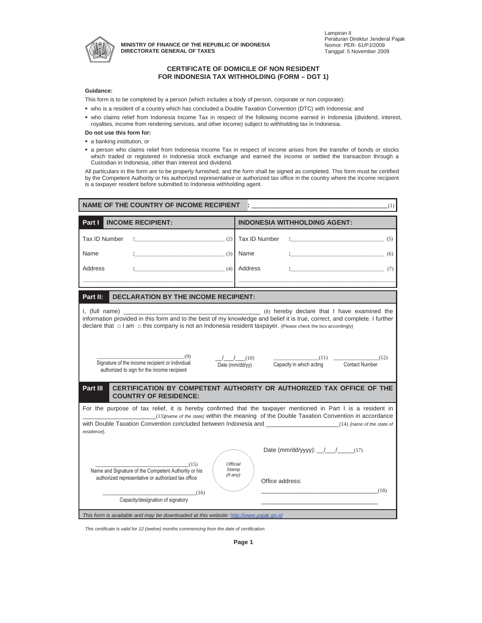

**MINISTRY OF FINANCE OF THE REPUBLIC OF INDONESIA DIRECTORATE GENERAL OF TAXES** 

### **CERTIFICATE OF DOMICILE OF NON RESIDENT FOR INDONESIA TAX WITHHOLDING (FORM – DGT 1)**

#### **Guidance:**

This form is to be completed by a person (which includes a body of person, corporate or non corporate):

- who is a resident of a country which has concluded a Double Taxation Convention (DTC) with Indonesia; and
- who claims relief from Indonesia Income Tax in respect of the following income earned in Indonesia (dividend, interest, royalties, income from rendering services, and other income) subject to withholding tax in Indonesia.

### **Do not use this form for:**

- a banking institution, or
- a person who claims relief from Indonesia Income Tax in respect of income arises from the transfer of bonds or stocks which traded or registered in Indonesia stock exchange and earned the income or settled the transaction through a Custodian in Indonesia, other than interest and dividend.

All particulars in the form are to be properly furnished, and the form shall be signed as completed. This form must be certified by the Competent Authority or his authorized representative or authorized tax office in the country where the income recipient is a taxpayer resident before submitted to Indonesia withholding agent.

| <b>INCOME RECIPIENT:</b><br><b>INDONESIA WITHHOLDING AGENT:</b><br>Part I<br>Tax ID Number<br>(2)<br>Tax ID Number<br>(5)<br>Name<br>Name<br>(3)<br>(6)<br>Address<br>$\sim$ (4)<br>Address<br>(7)<br>Part II:<br><b>DECLARATION BY THE INCOME RECIPIENT:</b><br>I, (full name)<br>(8) hereby declare that I have examined the<br>information provided in this form and to the best of my knowledge and belief it is true, correct, and complete. I further<br>declare that $\Box$ I am $\Box$ this company is not an Indonesia resident taxpayer. (Please check the box accordingly)<br>(9)<br>$/$ $/$ $(10)$<br>$(11)$ (12)<br>Signature of the income recipient or individual<br>Capacity in which acting Contact Number<br>Date (mm/dd/yy)<br>authorized to sign for the income recipient<br>Part III<br>CERTIFICATION BY COMPETENT AUTHORITY OR AUTHORIZED TAX OFFICE OF THE<br><b>COUNTRY OF RESIDENCE:</b><br>For the purpose of tax relief, it is hereby confirmed that the taxpayer mentioned in Part I is a resident in<br>(13) [name of the state] within the meaning of the Double Taxation Convention in accordance<br>with Double Taxation Convention concluded between Indonesia and Theorem Convention (14) Iname of the state of<br>residence].<br>Date (mm/dd/yyyy): $\frac{1}{\sqrt{1-\frac{1}{(17)}}}$<br><b>Official</b><br>(15)<br>Name and Signature of the Competent Authority or his<br>Stamp<br>(if any)<br>authorized representative or authorized tax office<br>Office address: | <b>NAME OF THE COUNTRY OF INCOME RECIPIENT</b><br>(1) |        |  |  |  |  |
|-------------------------------------------------------------------------------------------------------------------------------------------------------------------------------------------------------------------------------------------------------------------------------------------------------------------------------------------------------------------------------------------------------------------------------------------------------------------------------------------------------------------------------------------------------------------------------------------------------------------------------------------------------------------------------------------------------------------------------------------------------------------------------------------------------------------------------------------------------------------------------------------------------------------------------------------------------------------------------------------------------------------------------------------------------------------------------------------------------------------------------------------------------------------------------------------------------------------------------------------------------------------------------------------------------------------------------------------------------------------------------------------------------------------------------------------------------------------------------------------------------------|-------------------------------------------------------|--------|--|--|--|--|
|                                                                                                                                                                                                                                                                                                                                                                                                                                                                                                                                                                                                                                                                                                                                                                                                                                                                                                                                                                                                                                                                                                                                                                                                                                                                                                                                                                                                                                                                                                             |                                                       |        |  |  |  |  |
|                                                                                                                                                                                                                                                                                                                                                                                                                                                                                                                                                                                                                                                                                                                                                                                                                                                                                                                                                                                                                                                                                                                                                                                                                                                                                                                                                                                                                                                                                                             |                                                       |        |  |  |  |  |
|                                                                                                                                                                                                                                                                                                                                                                                                                                                                                                                                                                                                                                                                                                                                                                                                                                                                                                                                                                                                                                                                                                                                                                                                                                                                                                                                                                                                                                                                                                             |                                                       |        |  |  |  |  |
|                                                                                                                                                                                                                                                                                                                                                                                                                                                                                                                                                                                                                                                                                                                                                                                                                                                                                                                                                                                                                                                                                                                                                                                                                                                                                                                                                                                                                                                                                                             |                                                       |        |  |  |  |  |
|                                                                                                                                                                                                                                                                                                                                                                                                                                                                                                                                                                                                                                                                                                                                                                                                                                                                                                                                                                                                                                                                                                                                                                                                                                                                                                                                                                                                                                                                                                             |                                                       |        |  |  |  |  |
|                                                                                                                                                                                                                                                                                                                                                                                                                                                                                                                                                                                                                                                                                                                                                                                                                                                                                                                                                                                                                                                                                                                                                                                                                                                                                                                                                                                                                                                                                                             |                                                       |        |  |  |  |  |
|                                                                                                                                                                                                                                                                                                                                                                                                                                                                                                                                                                                                                                                                                                                                                                                                                                                                                                                                                                                                                                                                                                                                                                                                                                                                                                                                                                                                                                                                                                             |                                                       |        |  |  |  |  |
|                                                                                                                                                                                                                                                                                                                                                                                                                                                                                                                                                                                                                                                                                                                                                                                                                                                                                                                                                                                                                                                                                                                                                                                                                                                                                                                                                                                                                                                                                                             |                                                       |        |  |  |  |  |
|                                                                                                                                                                                                                                                                                                                                                                                                                                                                                                                                                                                                                                                                                                                                                                                                                                                                                                                                                                                                                                                                                                                                                                                                                                                                                                                                                                                                                                                                                                             |                                                       |        |  |  |  |  |
|                                                                                                                                                                                                                                                                                                                                                                                                                                                                                                                                                                                                                                                                                                                                                                                                                                                                                                                                                                                                                                                                                                                                                                                                                                                                                                                                                                                                                                                                                                             |                                                       |        |  |  |  |  |
| Capacity/designation of signatory                                                                                                                                                                                                                                                                                                                                                                                                                                                                                                                                                                                                                                                                                                                                                                                                                                                                                                                                                                                                                                                                                                                                                                                                                                                                                                                                                                                                                                                                           | (16)                                                  | $(18)$ |  |  |  |  |
| This form is available and may be downloaded at this website: http://www.pajak.go.id                                                                                                                                                                                                                                                                                                                                                                                                                                                                                                                                                                                                                                                                                                                                                                                                                                                                                                                                                                                                                                                                                                                                                                                                                                                                                                                                                                                                                        |                                                       |        |  |  |  |  |

*This certificate is valid for 12 (twelve) months commencing from the date of certification.*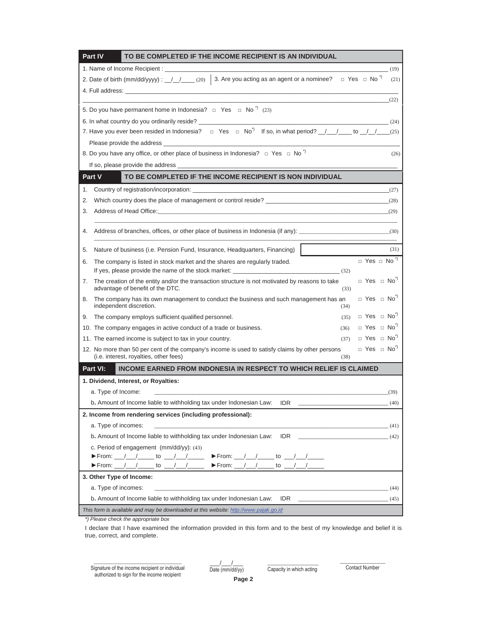| Part IV<br>TO BE COMPLETED IF THE INCOME RECIPIENT IS AN INDIVIDUAL                                                                                                                                                           |      |
|-------------------------------------------------------------------------------------------------------------------------------------------------------------------------------------------------------------------------------|------|
| 1. Name of Income Recipient : ___________                                                                                                                                                                                     | (19) |
| 2. Date of birth (mm/dd/yyyy) : $1/$ $(20)$ 3. Are you acting as an agent or a nominee? $\Box$ Yes $\Box$ No <sup>-1</sup>                                                                                                    | (21) |
| 4. Full address: the contract of the contract of the contract of the contract of the contract of the contract of the contract of the contract of the contract of the contract of the contract of the contract of the contract |      |
|                                                                                                                                                                                                                               | (22) |
| 5. Do you have permanent home in Indonesia? $\Box$ Yes $\Box$ No <sup>*</sup> ) (23)                                                                                                                                          |      |
| 6. In what country do you ordinarily reside?<br>(24)                                                                                                                                                                          |      |
| 7. Have you ever been resided in Indonesia? $\Box$ Yes $\Box$ No <sup>*</sup> ) If so, in what period? $\Box$ to $\Box$ to $\Box$ (25)                                                                                        |      |
|                                                                                                                                                                                                                               |      |
| 8. Do you have any office, or other place of business in Indonesia? $\Box$ Yes $\Box$ No <sup>*</sup> )                                                                                                                       | (26) |
|                                                                                                                                                                                                                               |      |
| Part V<br>TO BE COMPLETED IF THE INCOME RECIPIENT IS NON INDIVIDUAL                                                                                                                                                           |      |
| 1.                                                                                                                                                                                                                            |      |
| 2.                                                                                                                                                                                                                            |      |
| 3.<br>(29)                                                                                                                                                                                                                    |      |
| Address of branches, offices, or other place of business in Indonesia (if any): (30)<br>4.                                                                                                                                    |      |
|                                                                                                                                                                                                                               |      |
| Nature of business (i.e. Pension Fund, Insurance, Headquarters, Financing)<br>5.                                                                                                                                              | (31) |
| $\Box$ Yes $\Box$ No <sup>*)</sup><br>The company is listed in stock market and the shares are regularly traded.<br>6.                                                                                                        |      |
| If yes, please provide the name of the stock market: ___________________________<br>(32)                                                                                                                                      |      |
| $\Box$ Yes $\Box$ No <sup>*)</sup><br>The creation of the entity and/or the transaction structure is not motivated by reasons to take<br>7.<br>advantage of benefit of the DTC.<br>(33)                                       |      |
| $\Box$ Yes $\Box$ No <sup>*)</sup><br>The company has its own management to conduct the business and such management has an<br>8.<br>independent discretion.<br>(34)                                                          |      |
| $\Box$ Yes $\Box$ No <sup>7</sup><br>The company employs sufficient qualified personnel.<br>9.<br>(35)                                                                                                                        |      |
| $\Box$ Yes $\Box$ No <sup>*)</sup><br>10. The company engages in active conduct of a trade or business.<br>(36)                                                                                                               |      |
| $\Box$ Yes $\Box$ No <sup>*)</sup><br>11. The earned income is subject to tax in your country.<br>(37)                                                                                                                        |      |
| $\Box$ Yes $\Box$ No <sup>2</sup><br>12. No more than 50 per cent of the company's income is used to satisfy claims by other persons<br>(i.e. interest, royalties, other fees)<br>(38)                                        |      |
| <b>INCOME EARNED FROM INDONESIA IN RESPECT TO WHICH RELIEF IS CLAIMED</b><br>Part VI:                                                                                                                                         |      |
| 1. Dividend, Interest, or Royalties:                                                                                                                                                                                          |      |
| a. Type of Income:                                                                                                                                                                                                            | (39) |
| b. Amount of Income liable to withholding tax under Indonesian Law: IDR __                                                                                                                                                    | (40) |
| 2. Income from rendering services (including professional):                                                                                                                                                                   |      |
| a. Type of incomes:<br><u> 1989 - Johann John Harry Harry Harry Harry Harry Harry Harry Harry Harry Harry Harry Harry Harry Harry Harry</u>                                                                                   | (41) |
| b. Amount of Income liable to withholding tax under Indonesian Law: IDR ____________________________(42)                                                                                                                      |      |
| c. Period of engagement (mm/dd/yy): (43)                                                                                                                                                                                      |      |
| From: __/__/_____ to __/__/____<br>$\blacktriangleright$ From: __/__/_____ to __/__/____                                                                                                                                      |      |
| $\blacktriangleright$ From: __/__/_____ to __/__/____<br>$\blacktriangleright$ From: __/__/_____ to __/__/____                                                                                                                |      |
| 3. Other Type of Income:                                                                                                                                                                                                      |      |
| a. Type of incomes:<br><u> 144) - Andrea Andrewski, politik (</u>                                                                                                                                                             |      |
| b. Amount of Income liable to withholding tax under Indonesian Law: IDR                                                                                                                                                       | (45) |
| This form is available and may be downloaded at this website: http://www.pajak.go.id<br>*) Please check the appropriate box                                                                                                   |      |

I declare that I have examined the information provided in this form and to the best of my knowledge and belief it is true, correct, and complete.

> $\frac{1}{2}$ Date (mm/dd/yy)

Signature of the income recipient or individual authorized to sign for the income recipient

 $\overline{\phantom{a}}$  , where  $\overline{\phantom{a}}$ Capacity in which acting

 $\overline{\phantom{a}}$  ,  $\overline{\phantom{a}}$  ,  $\overline{\phantom{a}}$  ,  $\overline{\phantom{a}}$  ,  $\overline{\phantom{a}}$  ,  $\overline{\phantom{a}}$  ,  $\overline{\phantom{a}}$  ,  $\overline{\phantom{a}}$  ,  $\overline{\phantom{a}}$  ,  $\overline{\phantom{a}}$  ,  $\overline{\phantom{a}}$  ,  $\overline{\phantom{a}}$  ,  $\overline{\phantom{a}}$  ,  $\overline{\phantom{a}}$  ,  $\overline{\phantom{a}}$  ,  $\overline{\phantom{a}}$ Contact Number